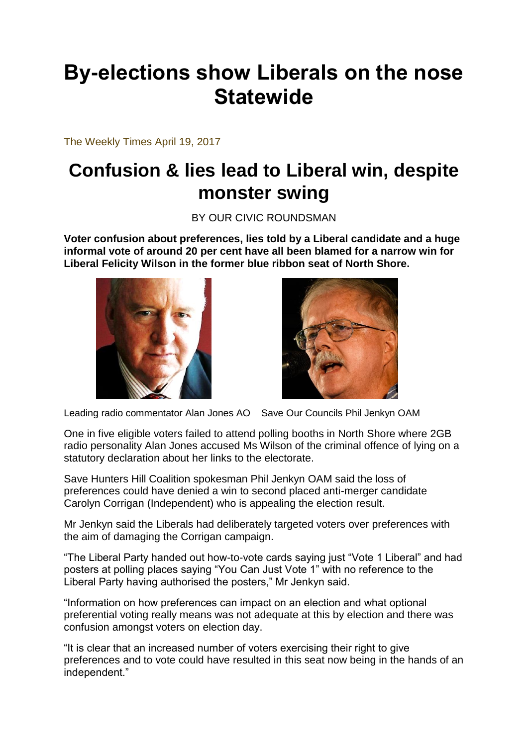## **By-elections show Liberals on the nose Statewide**

The Weekly Times April 19, 2017

## **Confusion & lies lead to Liberal win, despite monster swing**

BY OUR CIVIC ROUNDSMAN

**Voter confusion about preferences, lies told by a Liberal candidate and a huge informal vote of around 20 per cent have all been blamed for a narrow win for Liberal Felicity Wilson in the former blue ribbon seat of North Shore.**





Leading radio commentator Alan Jones AO Save Our Councils Phil Jenkyn OAM

One in five eligible voters failed to attend polling booths in North Shore where 2GB radio personality Alan Jones accused Ms Wilson of the criminal offence of lying on a statutory declaration about her links to the electorate.

Save Hunters Hill Coalition spokesman Phil Jenkyn OAM said the loss of preferences could have denied a win to second placed anti-merger candidate Carolyn Corrigan (Independent) who is appealing the election result.

Mr Jenkyn said the Liberals had deliberately targeted voters over preferences with the aim of damaging the Corrigan campaign.

"The Liberal Party handed out how-to-vote cards saying just "Vote 1 Liberal" and had posters at polling places saying "You Can Just Vote 1" with no reference to the Liberal Party having authorised the posters," Mr Jenkyn said.

"Information on how preferences can impact on an election and what optional preferential voting really means was not adequate at this by election and there was confusion amongst voters on election day.

"It is clear that an increased number of voters exercising their right to give preferences and to vote could have resulted in this seat now being in the hands of an independent."